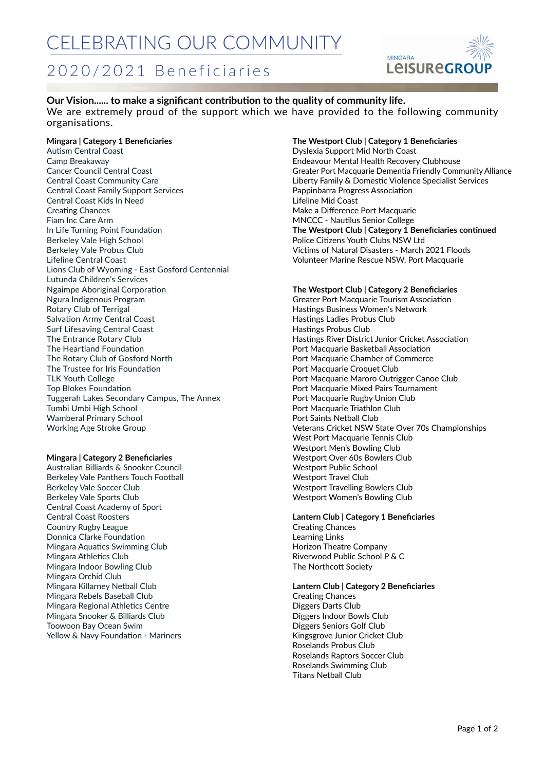### 2020/2021 Beneficiaries



**Our Vision...... to make a significant contribution to the quality of community life.** We are extremely proud of the support which we have provided to the following community organisations.

#### **Mingara | Category 1 Beneficiaries**

Autism Central Coast Camp Breakaway Cancer Council Central Coast Central Coast Community Care Central Coast Family Support Services Central Coast Kids In Need Creating Chances Fiam Inc Care Arm In Life Turning Point Foundation Berkeley Vale High School Berkeley Vale Probus Club Lifeline Central Coast Lions Club of Wyoming - East Gosford Centennial Lutunda Children's Services Ngaimpe Aboriginal Corporation Ngura Indigenous Program Rotary Club of Terrigal Salvation Army Central Coast Surf Lifesaving Central Coast The Entrance Rotary Club The Heartland Foundation The Rotary Club of Gosford North The Trustee for Iris Foundation TLK Youth College Top Blokes Foundation Tuggerah Lakes Secondary Campus, The Annex Tumbi Umbi High School Wamberal Primary School Working Age Stroke Group

#### **Mingara | Category 2 Beneficiaries**

Australian Billiards & Snooker Council Berkeley Vale Panthers Touch Football Berkeley Vale Soccer Club Berkeley Vale Sports Club Central Coast Academy of Sport Central Coast Roosters Country Rugby League Donnica Clarke Foundation Mingara Aquatics Swimming Club Mingara Athletics Club Mingara Indoor Bowling Club Mingara Orchid Club Mingara Killarney Netball Club Mingara Rebels Baseball Club Mingara Regional Athletics Centre Mingara Snooker & Billiards Club Toowoon Bay Ocean Swim Yellow & Navy Foundation - Mariners

#### **The Westport Club | Category 1 Beneficiaries**

Dyslexia Support Mid North Coast Endeavour Mental Health Recovery Clubhouse Greater Port Macquarie Dementia Friendly Community Alliance Liberty Family & Domestic Violence Specialist Services Pappinbarra Progress Association Lifeline Mid Coast Make a Difference Port Macquarie MNCCC - Nautilus Senior College **The Westport Club | Category 1 Beneficiaries continued** Police Citizens Youth Clubs NSW Ltd Victims of Natural Disasters - March 2021 Floods Volunteer Marine Rescue NSW, Port Macquarie

#### **The Westport Club | Category 2 Beneficiaries**

Greater Port Macquarie Tourism Association Hastings Business Women's Network Hastings Ladies Probus Club Hastings Probus Club Hastings River District Junior Cricket Association Port Macquarie Basketball Association Port Macquarie Chamber of Commerce Port Macquarie Croquet Club Port Macquarie Maroro Outrigger Canoe Club Port Macquarie Mixed Pairs Tournament Port Macquarie Rugby Union Club Port Macquarie Triathlon Club Port Saints Netball Club Veterans Cricket NSW State Over 70s Championships West Port Macquarie Tennis Club Westport Men's Bowling Club Westport Over 60s Bowlers Club Westport Public School Westport Travel Club Westport Travelling Bowlers Club Westport Women's Bowling Club

**Lantern Club | Category 1 Beneficiaries** Creating Chances Learning Links Horizon Theatre Company Riverwood Public School P & C The Northcott Society

**Lantern Club | Category 2 Beneficiaries** Creating Chances Diggers Darts Club Diggers Indoor Bowls Club Diggers Seniors Golf Club Kingsgrove Junior Cricket Club Roselands Probus Club Roselands Raptors Soccer Club Roselands Swimming Club Titans Netball Club